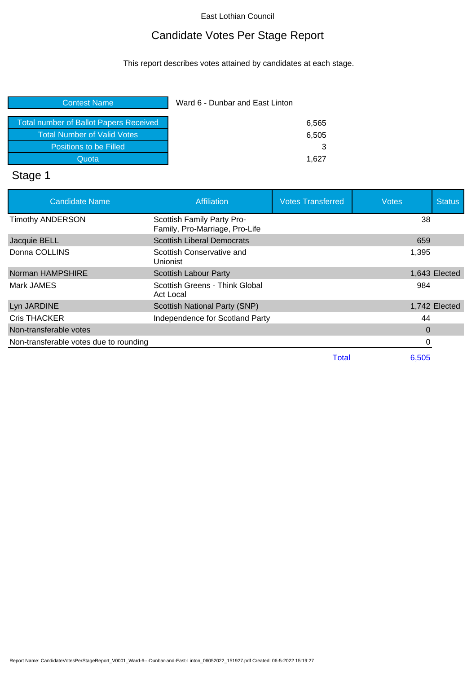# Candidate Votes Per Stage Report

This report describes votes attained by candidates at each stage.

| Ward 6 - Dunbar and East Linton |       |
|---------------------------------|-------|
|                                 |       |
| 6,505                           |       |
|                                 |       |
| 1.627                           |       |
|                                 | 6,565 |

# Stage 1

| <b>Candidate Name</b>                  | <b>Affiliation</b>                                           | <b>Votes Transferred</b> | <b>Votes</b> | <b>Status</b> |
|----------------------------------------|--------------------------------------------------------------|--------------------------|--------------|---------------|
| <b>Timothy ANDERSON</b>                | Scottish Family Party Pro-<br>Family, Pro-Marriage, Pro-Life |                          | 38           |               |
| Jacquie BELL                           | <b>Scottish Liberal Democrats</b>                            |                          | 659          |               |
| Donna COLLINS                          | Scottish Conservative and<br>Unionist                        |                          | 1,395        |               |
| Norman HAMPSHIRE                       | <b>Scottish Labour Party</b>                                 |                          |              | 1,643 Elected |
| Mark JAMES                             | Scottish Greens - Think Global<br>Act Local                  |                          | 984          |               |
| Lyn JARDINE                            | Scottish National Party (SNP)                                |                          |              | 1,742 Elected |
| <b>Cris THACKER</b>                    | Independence for Scotland Party                              |                          | 44           |               |
| Non-transferable votes                 |                                                              |                          | $\Omega$     |               |
| Non-transferable votes due to rounding |                                                              |                          |              |               |
|                                        |                                                              | <b>Total</b>             | 6,505        |               |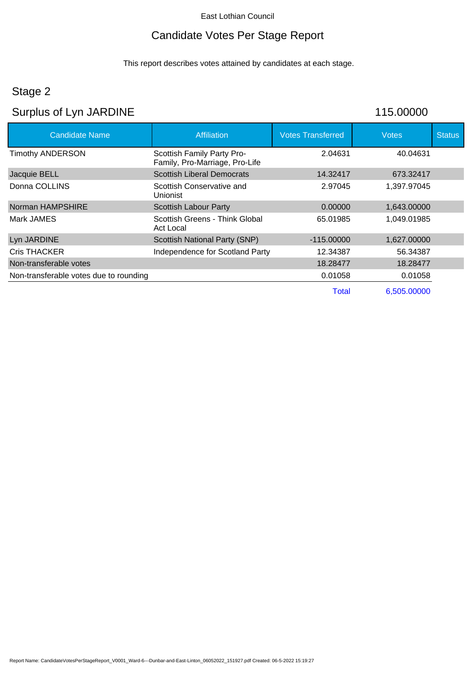### Candidate Votes Per Stage Report

This report describes votes attained by candidates at each stage.

## Stage 2

# Surplus of Lyn JARDINE 115.00000

| <b>Candidate Name</b>                  | <b>Affiliation</b>                                           | <b>Votes Transferred</b> | <b>Votes</b> | <b>Status</b> |
|----------------------------------------|--------------------------------------------------------------|--------------------------|--------------|---------------|
| <b>Timothy ANDERSON</b>                | Scottish Family Party Pro-<br>Family, Pro-Marriage, Pro-Life | 2.04631                  | 40.04631     |               |
| Jacquie BELL                           | <b>Scottish Liberal Democrats</b>                            | 14.32417                 | 673.32417    |               |
| Donna COLLINS                          | Scottish Conservative and<br>Unionist                        | 2.97045                  | 1,397.97045  |               |
| Norman HAMPSHIRE                       | Scottish Labour Party                                        | 0.00000                  | 1,643.00000  |               |
| Mark JAMES                             | Scottish Greens - Think Global<br>Act Local                  | 65.01985                 | 1,049.01985  |               |
| Lyn JARDINE                            | <b>Scottish National Party (SNP)</b>                         | $-115.00000$             | 1,627.00000  |               |
| <b>Cris THACKER</b>                    | Independence for Scotland Party                              | 12.34387                 | 56.34387     |               |
| Non-transferable votes                 |                                                              | 18.28477                 | 18.28477     |               |
| Non-transferable votes due to rounding |                                                              | 0.01058                  | 0.01058      |               |
|                                        |                                                              | Total                    | 6,505,00000  |               |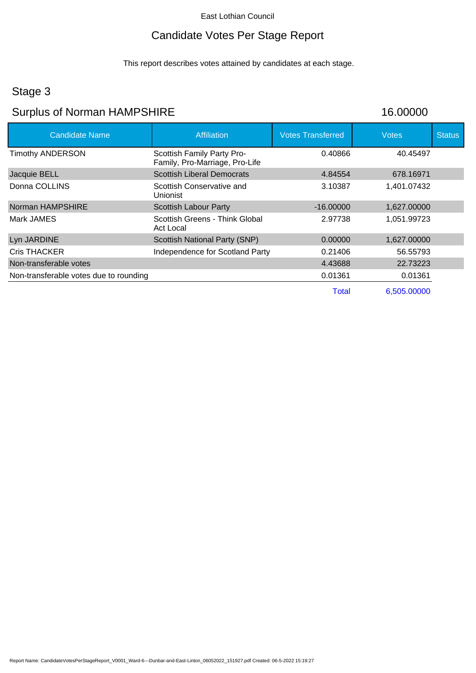# Candidate Votes Per Stage Report

This report describes votes attained by candidates at each stage.

### Stage 3

# Surplus of Norman HAMPSHIRE 16.00000

| <b>Candidate Name</b>                  | <b>Affiliation</b>                                           | <b>Votes Transferred</b> | <b>Votes</b> | <b>Status</b> |
|----------------------------------------|--------------------------------------------------------------|--------------------------|--------------|---------------|
| <b>Timothy ANDERSON</b>                | Scottish Family Party Pro-<br>Family, Pro-Marriage, Pro-Life | 0.40866                  | 40.45497     |               |
| Jacquie BELL                           | <b>Scottish Liberal Democrats</b>                            | 4.84554                  | 678.16971    |               |
| Donna COLLINS                          | Scottish Conservative and<br><b>Unionist</b>                 | 3.10387                  | 1,401.07432  |               |
| Norman HAMPSHIRE                       | <b>Scottish Labour Party</b>                                 | $-16,00000$              | 1,627.00000  |               |
| Mark JAMES                             | Scottish Greens - Think Global<br>Act Local                  | 2.97738                  | 1,051.99723  |               |
| Lyn JARDINE                            | <b>Scottish National Party (SNP)</b>                         | 0.00000                  | 1,627.00000  |               |
| <b>Cris THACKER</b>                    | Independence for Scotland Party                              | 0.21406                  | 56.55793     |               |
| Non-transferable votes                 |                                                              | 4.43688                  | 22.73223     |               |
| Non-transferable votes due to rounding |                                                              | 0.01361                  | 0.01361      |               |
|                                        |                                                              | Total                    | 6,505,00000  |               |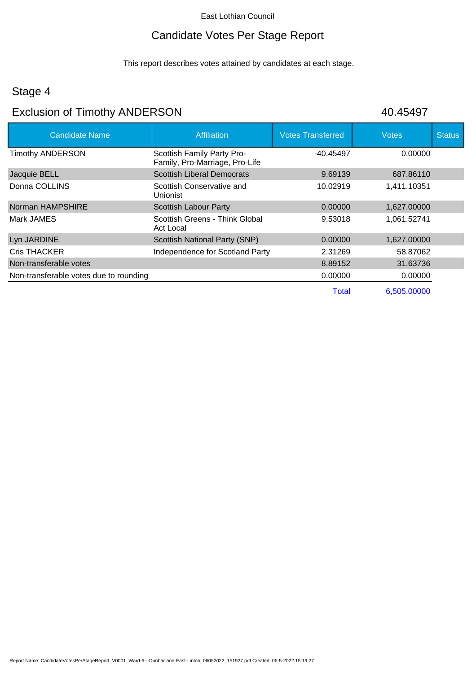### Candidate Votes Per Stage Report

This report describes votes attained by candidates at each stage.

### Stage 4

# Exclusion of Timothy ANDERSON 40.45497

| <b>Candidate Name</b>                  | <b>Affiliation</b>                                           | <b>Votes Transferred</b> | <b>Votes</b> | <b>Status</b> |
|----------------------------------------|--------------------------------------------------------------|--------------------------|--------------|---------------|
| <b>Timothy ANDERSON</b>                | Scottish Family Party Pro-<br>Family, Pro-Marriage, Pro-Life | -40.45497                | 0.00000      |               |
| Jacquie BELL                           | <b>Scottish Liberal Democrats</b>                            | 9.69139                  | 687.86110    |               |
| Donna COLLINS                          | Scottish Conservative and<br>Unionist                        | 10.02919                 | 1,411.10351  |               |
| Norman HAMPSHIRE                       | Scottish Labour Party                                        | 0.00000                  | 1,627.00000  |               |
| Mark JAMES                             | Scottish Greens - Think Global<br>Act Local                  | 9.53018                  | 1,061.52741  |               |
| Lyn JARDINE                            | Scottish National Party (SNP)                                | 0.00000                  | 1,627.00000  |               |
| <b>Cris THACKER</b>                    | Independence for Scotland Party                              | 2.31269                  | 58.87062     |               |
| Non-transferable votes                 |                                                              | 8.89152                  | 31.63736     |               |
| Non-transferable votes due to rounding |                                                              | 0.00000                  | 0.00000      |               |
|                                        |                                                              | <b>Total</b>             | 6,505.00000  |               |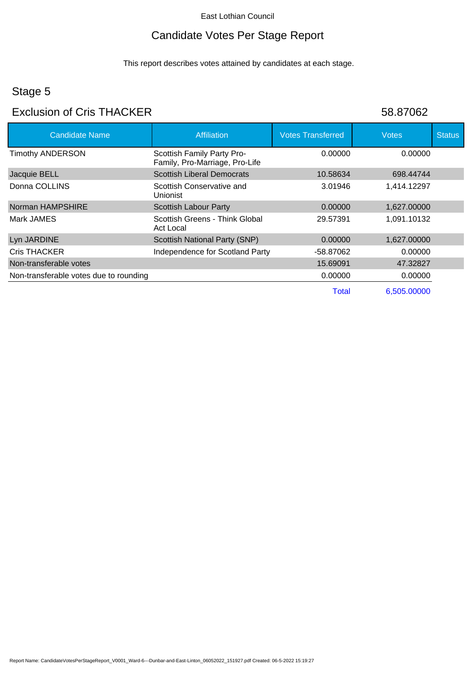# Candidate Votes Per Stage Report

This report describes votes attained by candidates at each stage.

# Stage 5

### Exclusion of Cris THACKER 58.87062

| <b>Candidate Name</b>                  | <b>Affiliation</b>                                           | <b>Votes Transferred</b> | <b>Votes</b> | <b>Status</b> |
|----------------------------------------|--------------------------------------------------------------|--------------------------|--------------|---------------|
| <b>Timothy ANDERSON</b>                | Scottish Family Party Pro-<br>Family, Pro-Marriage, Pro-Life | 0.00000                  | 0.00000      |               |
| Jacquie BELL                           | <b>Scottish Liberal Democrats</b>                            | 10.58634                 | 698.44744    |               |
| Donna COLLINS                          | Scottish Conservative and<br>Unionist                        | 3.01946                  | 1,414.12297  |               |
| Norman HAMPSHIRE                       | <b>Scottish Labour Party</b>                                 | 0.00000                  | 1,627.00000  |               |
| Mark JAMES                             | Scottish Greens - Think Global<br>Act Local                  | 29.57391                 | 1,091.10132  |               |
| Lyn JARDINE                            | <b>Scottish National Party (SNP)</b>                         | 0.00000                  | 1,627.00000  |               |
| <b>Cris THACKER</b>                    | Independence for Scotland Party                              | -58.87062                | 0.00000      |               |
| Non-transferable votes                 |                                                              | 15.69091                 | 47.32827     |               |
| Non-transferable votes due to rounding |                                                              | 0.00000                  | 0.00000      |               |
|                                        |                                                              | Total                    | 6.505.00000  |               |